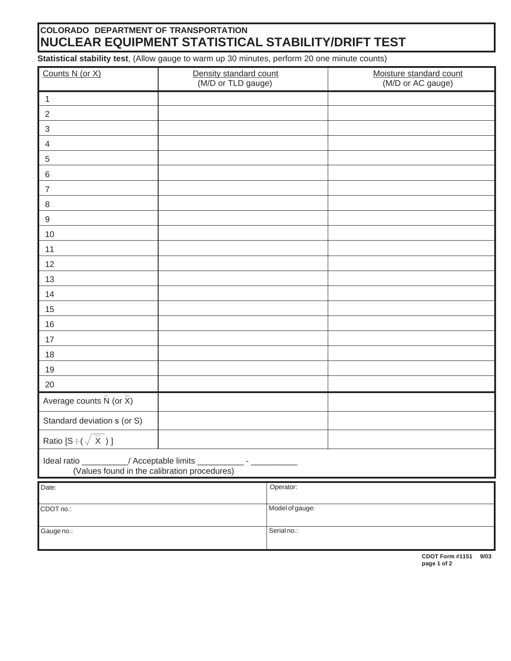## **COLORADO DEPARTMENT OF TRANSPORTATION NUCLEAR EQUIPMENT STATISTICAL STABILITY/DRIFT TEST**

**Statistical stability test**, (Allow gauge to warm up 30 minutes, perform 20 one minute counts)

| Counts N (or X)                                                                            | Density standard count<br>(M/D or TLD gauge) |                 | Moisture standard count<br>(M/D or AC gauge) |      |
|--------------------------------------------------------------------------------------------|----------------------------------------------|-----------------|----------------------------------------------|------|
| $\mathbf{1}$                                                                               |                                              |                 |                                              |      |
| $\overline{2}$                                                                             |                                              |                 |                                              |      |
| $\sqrt{3}$                                                                                 |                                              |                 |                                              |      |
| $\overline{4}$                                                                             |                                              |                 |                                              |      |
| $\sqrt{5}$                                                                                 |                                              |                 |                                              |      |
| $\,6$                                                                                      |                                              |                 |                                              |      |
| $\overline{7}$                                                                             |                                              |                 |                                              |      |
| $\,8\,$                                                                                    |                                              |                 |                                              |      |
| $\boldsymbol{9}$                                                                           |                                              |                 |                                              |      |
| 10                                                                                         |                                              |                 |                                              |      |
| 11                                                                                         |                                              |                 |                                              |      |
| 12                                                                                         |                                              |                 |                                              |      |
| 13                                                                                         |                                              |                 |                                              |      |
| 14                                                                                         |                                              |                 |                                              |      |
| 15                                                                                         |                                              |                 |                                              |      |
| 16                                                                                         |                                              |                 |                                              |      |
| 17                                                                                         |                                              |                 |                                              |      |
| 18                                                                                         |                                              |                 |                                              |      |
| 19                                                                                         |                                              |                 |                                              |      |
| $20\,$                                                                                     |                                              |                 |                                              |      |
| Average counts $\bar{N}$ (or $\bar{X}$ )                                                   |                                              |                 |                                              |      |
| Standard deviation s (or S)                                                                |                                              |                 |                                              |      |
| Ratio $[S \div (\sqrt{\overline{X}})]$                                                     |                                              |                 |                                              |      |
| Ideal ratio _________/ Acceptable limits _<br>(Values found in the calibration procedures) |                                              |                 |                                              |      |
| Date:                                                                                      |                                              | Operator:       |                                              |      |
|                                                                                            |                                              | Model of gauge: |                                              |      |
| CDOT no.:                                                                                  |                                              |                 |                                              |      |
| Gauge no.:                                                                                 |                                              | Serial no.:     |                                              |      |
|                                                                                            |                                              |                 | CDOT Form #1151                              | 9/03 |